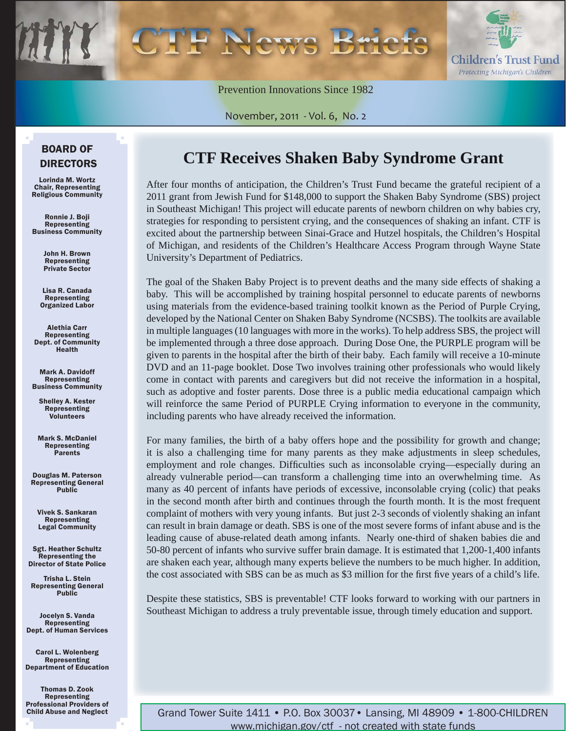

Prevention Innovations Since 1982

November, 2011 - Vol. 6, No. 2

### BOARD OF DIRECTORS

Lorinda M. Wortz Chair, Representing Religious Community

Ronnie J. Boji Representing Business Community

> John H. Brown Representing Private Sector

Lisa R. Canada Representing Organized Labor

Alethia Carr Representing Dept. of Community Health

Mark A. Davidoff Representing Business Community

Shelley A. Kester Representing Volunteers

Mark S. McDaniel Representing Parents

Douglas M. Paterson Representing General Public

Vivek S. Sankaran Representing Legal Community

Sgt. Heather Schultz Representing the Director of State Police

Trisha L. Stein Representing General Public

Jocelyn S. Vanda Representing Dept. of Human Services

Carol L. Wolenberg Representing Department of Education

Thomas D. Zook Representing Professional Providers of Child Abuse and Neglect

### **CTF Receives Shaken Baby Syndrome Grant**

After four months of anticipation, the Children's Trust Fund became the grateful recipient of a 2011 grant from Jewish Fund for \$148,000 to support the Shaken Baby Syndrome (SBS) project in Southeast Michigan! This project will educate parents of newborn children on why babies cry, strategies for responding to persistent crying, and the consequences of shaking an infant. CTF is excited about the partnership between Sinai-Grace and Hutzel hospitals, the Children's Hospital of Michigan, and residents of the Children's Healthcare Access Program through Wayne State University's Department of Pediatrics.

The goal of the Shaken Baby Project is to prevent deaths and the many side effects of shaking a baby. This will be accomplished by training hospital personnel to educate parents of newborns using materials from the evidence-based training toolkit known as the Period of Purple Crying, developed by the National Center on Shaken Baby Syndrome (NCSBS). The toolkits are available in multiple languages (10 languages with more in the works). To help address SBS, the project will be implemented through a three dose approach. During Dose One, the PURPLE program will be given to parents in the hospital after the birth of their baby. Each family will receive a 10-minute DVD and an 11-page booklet. Dose Two involves training other professionals who would likely come in contact with parents and caregivers but did not receive the information in a hospital, such as adoptive and foster parents. Dose three is a public media educational campaign which will reinforce the same Period of PURPLE Crying information to everyone in the community, including parents who have already received the information.

For many families, the birth of a baby offers hope and the possibility for growth and change; it is also a challenging time for many parents as they make adjustments in sleep schedules, employment and role changes. Difficulties such as inconsolable crying—especially during an already vulnerable period—can transform a challenging time into an overwhelming time. As many as 40 percent of infants have periods of excessive, inconsolable crying (colic) that peaks in the second month after birth and continues through the fourth month. It is the most frequent complaint of mothers with very young infants. But just 2-3 seconds of violently shaking an infant can result in brain damage or death. SBS is one of the most severe forms of infant abuse and is the leading cause of abuse-related death among infants. Nearly one-third of shaken babies die and 50-80 percent of infants who survive suffer brain damage. It is estimated that 1,200-1,400 infants are shaken each year, although many experts believe the numbers to be much higher. In addition, the cost associated with SBS can be as much as \$3 million for the first five years of a child's life.

Despite these statistics, SBS is preventable! CTF looks forward to working with our partners in Southeast Michigan to address a truly preventable issue, through timely education and support.

Grand Tower Suite 1411 • P.O. Box 30037• Lansing, MI 48909 • 1-800-CHILDREN www.michigan.gov/ctf - not created with state funds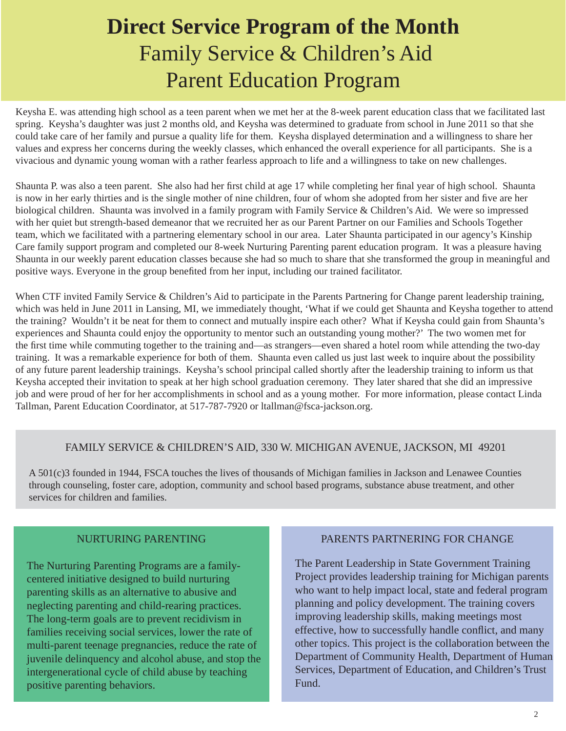# **Direct Service Program of the Month** Family Service & Children's Aid Parent Education Program

Keysha E. was attending high school as a teen parent when we met her at the 8-week parent education class that we facilitated last spring. Keysha's daughter was just 2 months old, and Keysha was determined to graduate from school in June 2011 so that she could take care of her family and pursue a quality life for them. Keysha displayed determination and a willingness to share her values and express her concerns during the weekly classes, which enhanced the overall experience for all participants. She is a vivacious and dynamic young woman with a rather fearless approach to life and a willingness to take on new challenges.

Shaunta P. was also a teen parent. She also had her first child at age 17 while completing her final year of high school. Shaunta is now in her early thirties and is the single mother of nine children, four of whom she adopted from her sister and five are her biological children. Shaunta was involved in a family program with Family Service & Children's Aid. We were so impressed with her quiet but strength-based demeanor that we recruited her as our Parent Partner on our Families and Schools Together team, which we facilitated with a partnering elementary school in our area. Later Shaunta participated in our agency's Kinship Care family support program and completed our 8-week Nurturing Parenting parent education program. It was a pleasure having Shaunta in our weekly parent education classes because she had so much to share that she transformed the group in meaningful and positive ways. Everyone in the group benefited from her input, including our trained facilitator.

When CTF invited Family Service & Children's Aid to participate in the Parents Partnering for Change parent leadership training, which was held in June 2011 in Lansing, MI, we immediately thought, 'What if we could get Shaunta and Keysha together to attend the training? Wouldn't it be neat for them to connect and mutually inspire each other? What if Keysha could gain from Shaunta's experiences and Shaunta could enjoy the opportunity to mentor such an outstanding young mother?' The two women met for the first time while commuting together to the training and—as strangers—even shared a hotel room while attending the two-day training. It was a remarkable experience for both of them. Shaunta even called us just last week to inquire about the possibility of any future parent leadership trainings. Keysha's school principal called shortly after the leadership training to inform us that Keysha accepted their invitation to speak at her high school graduation ceremony. They later shared that she did an impressive job and were proud of her for her accomplishments in school and as a young mother. For more information, please contact Linda Tallman, Parent Education Coordinator, at 517-787-7920 or ltallman@fsca-jackson.org.

### FAMILY SERVICE & CHILDREN'S AID, 330 W. MICHIGAN AVENUE, JACKSON, MI 49201

A 501(c)3 founded in 1944, FSCA touches the lives of thousands of Michigan families in Jackson and Lenawee Counties through counseling, foster care, adoption, community and school based programs, substance abuse treatment, and other services for children and families.

#### NURTURING PARENTING

The Nurturing Parenting Programs are a familycentered initiative designed to build nurturing parenting skills as an alternative to abusive and neglecting parenting and child-rearing practices. The long-term goals are to prevent recidivism in families receiving social services, lower the rate of multi-parent teenage pregnancies, reduce the rate of juvenile delinquency and alcohol abuse, and stop the intergenerational cycle of child abuse by teaching positive parenting behaviors.

#### PARENTS PARTNERING FOR CHANGE

The Parent Leadership in State Government Training Project provides leadership training for Michigan parents who want to help impact local, state and federal program planning and policy development. The training covers improving leadership skills, making meetings most effective, how to successfully handle conflict, and many other topics. This project is the collaboration between the Department of Community Health, Department of Human Services, Department of Education, and Children's Trust Fund.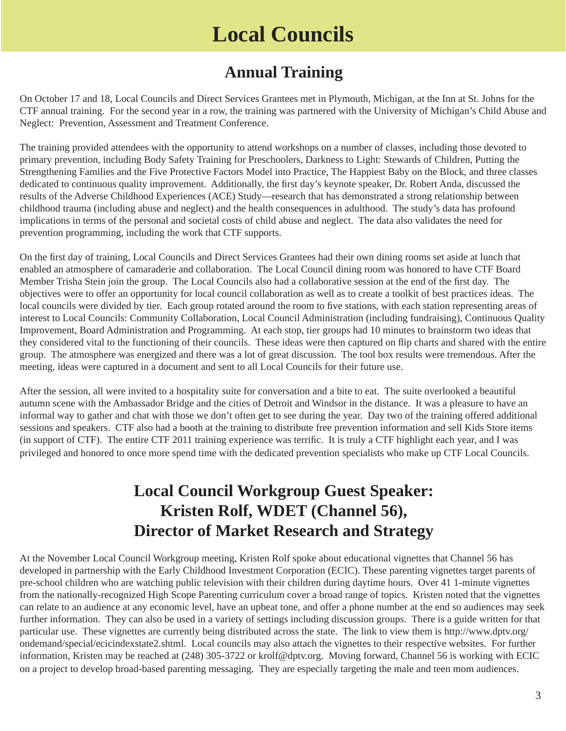# **Local Councils**

## **Annual Training**

On October 17 and 18, Local Councils and Direct Services Grantees met in Plymouth, Michigan, at the Inn at St. Johns for the CTF annual training. For the second year in a row, the training was partnered with the University of Michigan's Child Abuse and Neglect: Prevention, Assessment and Treatment Conference.

The training provided attendees with the opportunity to attend workshops on a number of classes, including those devoted to primary prevention, including Body Safety Training for Preschoolers, Darkness to Light: Stewards of Children, Putting the Strengthening Families and the Five Protective Factors Model into Practice, The Happiest Baby on the Block, and three classes dedicated to continuous quality improvement. Additionally, the first day's keynote speaker, Dr. Robert Anda, discussed the results of the Adverse Childhood Experiences (ACE) Study—research that has demonstrated a strong relationship between childhood trauma (including abuse and neglect) and the health consequences in adulthood. The study's data has profound implications in terms of the personal and societal costs of child abuse and neglect. The data also validates the need for prevention programming, including the work that CTF supports.

On the first day of training, Local Councils and Direct Services Grantees had their own dining rooms set aside at lunch that enabled an atmosphere of camaraderie and collaboration. The Local Council dining room was honored to have CTF Board Member Trisha Stein join the group. The Local Councils also had a collaborative session at the end of the first day. The objectives were to offer an opportunity for local council collaboration as well as to create a toolkit of best practices ideas. The local councils were divided by tier. Each group rotated around the room to five stations, with each station representing areas of interest to Local Councils: Community Collaboration, Local Council Administration (including fundraising), Continuous Quality Improvement, Board Administration and Programming. At each stop, tier groups had 10 minutes to brainstorm two ideas that they considered vital to the functioning of their councils. These ideas were then captured on flip charts and shared with the entire group. The atmosphere was energized and there was a lot of great discussion. The tool box results were tremendous. After the meeting, ideas were captured in a document and sent to all Local Councils for their future use.

After the session, all were invited to a hospitality suite for conversation and a bite to eat. The suite overlooked a beautiful autumn scene with the Ambassador Bridge and the cities of Detroit and Windsor in the distance. It was a pleasure to have an informal way to gather and chat with those we don't often get to see during the year. Day two of the training offered additional sessions and speakers. CTF also had a booth at the training to distribute free prevention information and sell Kids Store items (in support of CTF). The entire CTF 2011 training experience was terrific. It is truly a CTF highlight each year, and I was privileged and honored to once more spend time with the dedicated prevention specialists who make up CTF Local Councils.

### **Local Council Workgroup Guest Speaker: Kristen Rolf, WDET (Channel 56), Director of Market Research and Strategy**

At the November Local Council Workgroup meeting, Kristen Rolf spoke about educational vignettes that Channel 56 has developed in partnership with the Early Childhood Investment Corporation (ECIC). These parenting vignettes target parents of pre-school children who are watching public television with their children during daytime hours. Over 41 1-minute vignettes from the nationally-recognized High Scope Parenting curriculum cover a broad range of topics. Kristen noted that the vignettes can relate to an audience at any economic level, have an upbeat tone, and offer a phone number at the end so audiences may seek further information. They can also be used in a variety of settings including discussion groups. There is a guide written for that particular use. These vignettes are currently being distributed across the state. The link to view them is http://www.dptv.org/ [ondemand/special/ecicindexstate2.shtml. Local councils may also attach the vignettes to their respective websites. For furthe](http://www.dptv.org/ondemand/special/ecicindexstate2.shtml)r information, Kristen may be reached at (248) 305-3722 or krolf@dptv.org. Moving forward, Channel 56 is working with ECIC on a project to develop broad-based parenting messaging. They are especially targeting the male and teen mom audiences.